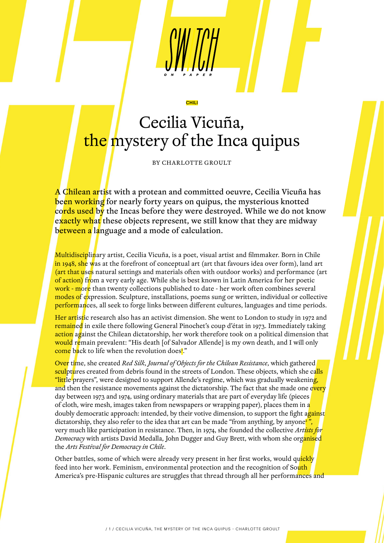# Cecilia Vicuña, the mystery of the Inca quipus

CHILI

BY CHARLOTTE GROULT

A Chilean artist with a protean and committed oeuvre, Cecilia Vicuña has been working for nearly forty years on quipus, the mysterious knotted cords used by the Incas before they were destroyed. While we do not know exactly what these objects represent, we still know that they are midway between a language and a mode of calculation.

Multidisciplinary artist, Cecilia Vicuña, is a poet, visual artist and filmmaker. Born in Chile in 1948, she was at the forefront of conceptual art (art that favours idea over form), land art (art that uses natural settings and materials often with outdoor works) and performance (art of action) from a very early age. While she is best known in Latin America for her poetic work - more than twenty collections published to date - her work often combines several modes of expression. Sculpture, installations, poems sung or written, individual or collective performances, all seek to forge links between different cultures, languages and time periods.

Her artistic research also has an activist dimension. She went to London to study in 1972 and remained in exile there following General Pinochet's coup d'état in 1973. Immediately taking action against the Chilean dictatorship, her work therefore took on a political dimension that would remain prevalent: "His death [of Salvador Allende] is my own death, and I will only <mark>come</mark> b<mark>a</mark>ck to life when the revolution does<mark>'</mark>."

Over time, she created *Red Silk*, *Journal of Objects for the Chilean Resistance*, which gathered sculptures created from debris found in the streets of London. These objects, which she calls "little prayers", were designed to support Allende's regime, which was gradually weakening, and then the resistance movements against the dictatorship. The fact that she made one every day between 1973 and 1974, using ordinary materials that are part of everyday life (pieces of cloth, wire mesh, images taken from newspapers or wrapping paper), places them in a doubly democratic approach: intended, by their votive dimension, to support the fight against dictatorship, they also refer to the idea that art can be made "from anything, by anyone<mark><sup>2</sup>",</mark> very much like participation in resistance. Then, in 1974, she founded the collective *Artists for Democracy* with artists David Medalla, John Dugger and Guy Brett, with whom she organised the *Arts Festival for Democracy in Chile*.

Other battles, some of which were already very present in her first works, would quickly feed into her work. Feminism, environmental protection and the recognition of South America's pre-Hispanic cultures are struggles that thread through all her performances and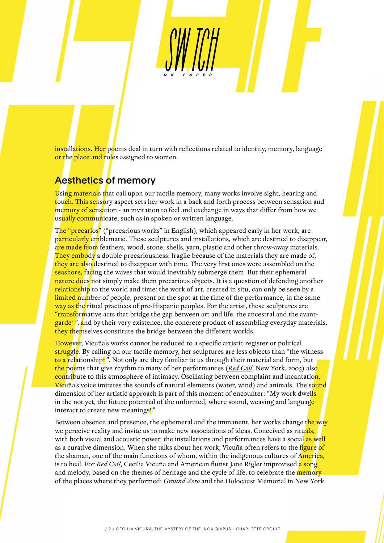installations. Her poems deal in turn with reflections related to identity, memory, language or the place and roles assigned to women.

## Aesthetics of memory

Using materials that call upon our tactile memory, many works involve sight, hearing and touch. This sensory aspect sets her work in a back and forth process between sensation and memory of sensation - an invitation to feel and exchange in ways that differ from how we usually communicate, such as in spoken or written language.

The "precarios" ("precarious works" in English), which appeared early in her work, are particularly emblematic. These sculptures and installations, which are destined to disappear, are made from feathers, wood, stone, shells, yarn, plastic and other throw-away materials. They embody a double precariousness: fragile because of the materials they are made of, they are also destined to disappear with time. The very first ones were assembled on the seashore, facing the waves that would inevitably submerge them. But their ephemeral nature does not simply make them precarious objects. It is a question of defending another relationship to the world and time: the work of art, created in situ, can only be seen by a limited number of people, present on the spot at the time of the performance, in the same way as the ritual practices of pre-Hispanic peoples. For the artist, these sculptures are "transformative acts that bridge the gap between art and life, the ancestral and the avantgarde<sup>3</sup>", and by their very existence, the concrete product of assembling everyday materials, they themselves constitute the bridge between the different worlds.

However, Vicuña's works cannot be reduced to a specific artistic register or political struggle. By calling on our tactile memory, her sculptures are less objects than "the witness <mark>to a rel</mark>ationship<sup>4</sup> ". Not only are they familiar to us through their material and form, but the poems that give rhythm to many of her performances (*[Red Coil](https://www.youtube.com/watch?v=jiWpb3J1c8c)*, New York, 2005) also contribute to this atmosphere of intimacy. Oscillating between complaint and incantation, Vicuña's voice imitates the sounds of natural elements (water, wind) and animals. The sound dimension of her artistic approach is part of this moment of encounter: "My work dwells in the not yet, the future potential of the unformed, where sound, weaving and language interact to create new meanings<mark><sup>5</sup>.</mark>"

Between absence and presence, the ephemeral and the immanent, her works change the way we perceive reality and invite us to make new associations of ideas. Conceived as rituals, with both visual and acoustic power, the installations and performances have a social as well as a curative dimension. When she talks about her work, Vicuña often refers to the figure of the shaman, one of the main functions of whom, within the indigenous cultures of America, is to heal. For *Red Coil*, Cecilia Vicuña and American flutist Jane Rigler improvised a song and melody, based on the themes of heritage and the cycle of life, to celebrate the memory of the places where they performed: *Ground Zero* and the Holocaust Memorial in New York.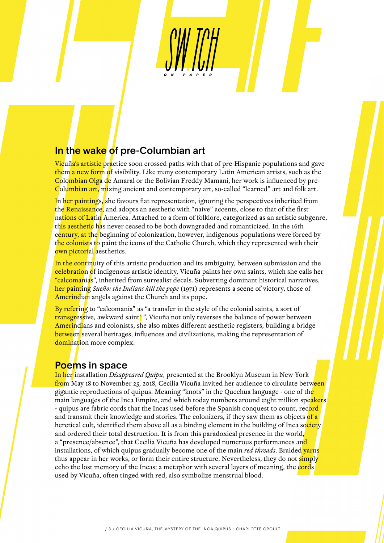## In the wake of pre-Columbian art

Vicuña's artistic practice soon crossed paths with that of pre-Hispanic populations and gave them a new form of visibility. Like many contemporary Latin American artists, such as the Colombian Olga de Amaral or the Bolivian Freddy Mamani, her work is influenced by pre-Columbian art, mixing ancient and contemporary art, so-called "learned" art and folk art.

In her paintings, she favours flat representation, ignoring the perspectives inherited from the Renaissance, and adopts an aesthetic with "naive" accents, close to that of the first nations of Latin America. Attached to a form of folklore, categorized as an artistic subgenre, this aesthetic has never ceased to be both downgraded and romanticized. In the 16th century, at the beginning of colonization, however, indigenous populations were forced by the colonists to paint the icons of the Catholic Church, which they represented with their own pictorial aesthetics.

In the continuity of this artistic production and its ambiguity, between submission and the celebration of indigenous artistic identity, Vicuña paints her own saints, which she calls her "calcomanías", inherited from surrealist decals. Subverting dominant historical narratives, her painting *Sueño: the Indians kill the pope* (1971) represents a scene of victory, those of Amerindian angels against the Church and its pope.

By refering to "calcomanía" as "a transfer in the style of the colonial saints, a sort of <mark>transgr</mark>essive, awkward saint<mark>6</mark> ", Vicuña not only reverses the balance of power between Amerindians and colonists, she also mixes different aesthetic registers, building a bridge between several heritages, influences and civilizations, making the representation of domination more complex.

### Poems in space

In her installation *Disappeared Quipu*, presented at the Brooklyn Museum in New York from May 18 to November 25, 2018, Cecilia Vicuña invited her audience to circulate between gigantic reproductions of quipus. Meaning "knots" in the Quechua language - one of the main languages of the Inca Empire, and which today numbers around eight million speakers - quipus are fabric cords that the Incas used before the Spanish conquest to count, record and transmit their knowledge and stories. The colonizers, if they saw them as objects of a heretical cult, identified them above all as a binding element in the building of Inca society and ordered their total destruction. It is from this paradoxical presence in the world, a "presence/absence", that Cecilia Vicuña has developed numerous performances and installations, of which quipus gradually become one of the main *red threads*. Braided yarns thus appear in her works, or form their entire structure. Nevertheless, they do not simply echo the lost memory of the Incas; a metaphor with several layers of meaning, the cords used by Vicuña, often tinged with red, also symbolize menstrual blood.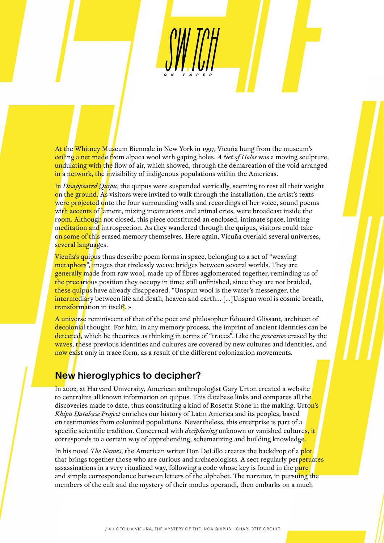At the Whitney Museum Biennale in New York in 1997, Vicuña hung from the museum's ceiling a net made from alpaca wool with gaping holes. *A Net of Holes* was a moving sculpture, undulating with the flow of air, which showed, through the demarcation of the void arranged in a network, the invisibility of indigenous populations within the Americas.

In *Disappeared Quipu*, the quipus were suspended vertically, seeming to rest all their weight on the ground. As visitors were invited to walk through the installation, the artist's texts were projected onto the four surrounding walls and recordings of her voice, sound poems with accents of lament, mixing incantations and animal cries, were broadcast inside the room. Although not closed, this piece constituted an enclosed, intimate space, inviting meditation and introspection. As they wandered through the quipus, visitors could take on some of this erased memory themselves. Here again, Vicuña overlaid several universes, several languages.

Vicuña's quipus thus describe poem forms in space, belonging to a set of "weaving" metaphors", images that tirelessly weave bridges between several worlds. They are generally made from raw wool, made up of fibres agglomerated together, reminding us of the precarious position they occupy in time: still unfinished, since they are not braided, these quipus have already disappeared. "Unspun wool is the water's messenger, the intermediary between life and death, heaven and earth... […]Unspun wool is cosmic breath, <mark>transfor</mark>mation in itself<mark>'</mark>. »

A universe reminiscent of that of the poet and philosopher Édouard Glissant, architect of decolonial thought. For him, in any memory process, the imprint of ancient identities can be detected, which he theorizes as thinking in terms of "traces". Like the *precarios* erased by the waves, these previous identities and cultures are covered by new cultures and identities, and now exist only in trace form, as a result of the different colonization movements.

## New hieroglyphics to decipher?

In 2002, at Harvard University, American anthropologist Gary Urton created a website to centralize all known information on quipus. This database links and compares all the discoveries made to date, thus constituting a kind of Rosetta Stone in the making. Urton's *Khipu Database Project* enriches our history of Latin America and its peoples, based on testimonies from colonized populations. Nevertheless, this enterprise is part of a specific scientific tradition. Concerned with *deciphering* unknown or vanished culture<mark>s, it</mark> corresponds to a certain way of apprehending, schematizing and building knowledge.

In his novel *The Names*, the American writer Don DeLillo creates the backdrop of a plot that brings together those who are curious and archaeologists. A sect regularly perpetuates assassinations in a very ritualized way, following a code whose key is found in the pure and simple correspondence between letters of the alphabet. The narrator, in pursuing the members of the cult and the mystery of their modus operandi, then embarks on a much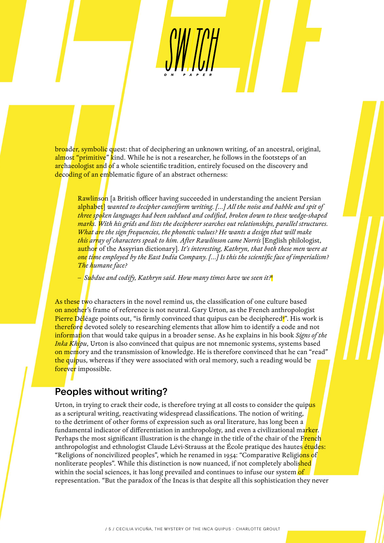broader, symbolic quest: that of deciphering an unknown writing, of an ancestral, original, almost "primitive" kind. While he is not a researcher, he follows in the footsteps of an archaeologist and of a whole scientific tradition, entirely focused on the discovery and decoding of an emblematic figure of an abstract otherness:

Rawlinson [a British officer having succeeded in understanding the ancient Persian alphabet] *wanted to decipher cuneiform writing. […] All the noise and babble and spit of three spoken languages had been subdued and codified, broken down to these wedge-shaped marks. With his grids and lists the decipherer searches out relationships, parallel structures. What are the sign frequencies, the phonetic values? He wants a design that will make this array of characters speak to him. After Rawlinson came Norris* [English philologist, author of the Assyrian dictionary]*. It's interesting, Kathryn, that both these men were at one time employed by the East India Company. […] Is this the scientific face of imperialism? The humane face?* 

*– Subdue and codify, Kathryn said. How many times have we seen it?*<sup>8</sup>

As these two characters in the novel remind us, the classification of one culture based on another's frame of reference is not neutral. Gary Urton, as the French anthropologist Pierre Déléage points out, "is firmly convinced that quipus can be deciphered<mark>?</mark>". His work is therefore devoted solely to researching elements that allow him to identify a code and not information that would take quipus in a broader sense. As he explains in his book *Signs of the Inka Khipu*, Urton is also convinced that quipus are not mnemonic systems, systems based on memory and the transmission of knowledge. He is therefore convinced that he can "read" the quipus, whereas if they were associated with oral memory, such a reading would be forever impossible.

### Peoples without writing?

Urton, in trying to crack their code, is therefore trying at all costs to consider the quipus as a scriptural writing, reactivating widespread classifications. The notion of writing, to the detriment of other forms of expression such as oral literature, has long been a fundamental indicator of differentiation in anthropology, and even a civilizational ma<mark>rker</mark>. Perhaps the most significant illustration is the change in the title of the chair of the French anthropologist and ethnologist Claude Lévi-Strauss at the École pratique des hautes études: "Religions of noncivilized peoples", which he renamed in 1954: "Comparative Religions of nonliterate peoples". While this distinction is now nuanced, if not completely abolished within the social sciences, it has long prevailed and continues to infuse our system of representation. "But the paradox of the Incas is that despite all this sophistication they never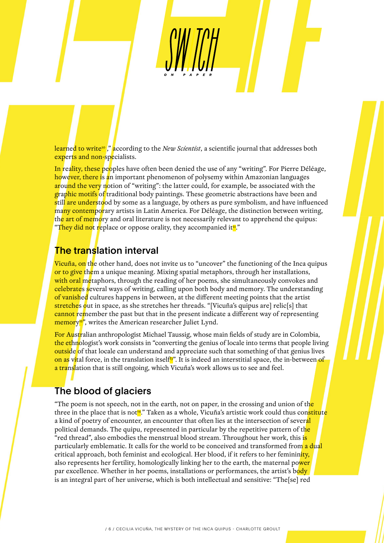learned to write10 ," according to the *New Scientist*, a scientific journal that addresses both experts and non-specialists.

In reality, these peoples have often been denied the use of any "writing". For Pierre Déléage, however, there is an important phenomenon of polysemy within Amazonian languages around the very notion of "writing": the latter could, for example, be associated with the graphic motifs of traditional body paintings. These geometric abstractions have been and still are understood by some as a language, by others as pure symbolism, and have influenced many contemporary artists in Latin America. For Déléage, the distinction between writing, the art of memory and oral literature is not necessarily relevant to apprehend the quipus: "They did not replace or oppose orality, they accompanied it<sup>n</sup>."

## **The translation interval**

Vicuña, on the other hand, does not invite us to "uncover" the functioning of the Inca quipus or to give them a unique meaning. Mixing spatial metaphors, through her installations, with oral metaphors, through the reading of her poems, she simultaneously convokes and celebrates several ways of writing, calling upon both body and memory. The understanding of vanished cultures happens in between, at the different meeting points that the artist stretches out in space, as she stretches her threads. "[Vicuña's quipus are] relic[s] that cannot remember the past but that in the present indicate a different way of representing memory<sup>12</sup>", writes the American researcher Juliet Lynd.

For Australian anthropologist Michael Taussig, whose main fields of study are in Colombia, the ethnologist's work consists in "converting the genius of locale into terms that people living outside of that locale can understand and appreciate such that something of that genius lives on as vital force, in the translation itself<sup>13</sup>. It is indeed an interstitial space, the in-between of a translation that is still ongoing, which Vicuña's work allows us to see and feel.

### The blood of glaciers

"The poem is not speech, not in the earth, not on paper, in the crossing and union of the three in the place that is not<sup>14</sup>." Taken as a whole, Vicuña's artistic work could thus constitute a kind of poetry of encounter, an encounter that often lies at the intersection of several political demands. The quipu, represented in particular by the repetitive pattern of the "red thread", also embodies the menstrual blood stream. Throughout her work, this is particularly emblematic. It calls for the world to be conceived and transformed from a dual critical approach, both feminist and ecological. Her blood, if it refers to her femininity, also represents her fertility, homologically linking her to the earth, the maternal power par excellence. Whether in her poems, installations or performances, the artist's body is an integral part of her universe, which is both intellectual and sensitive: "The[se] red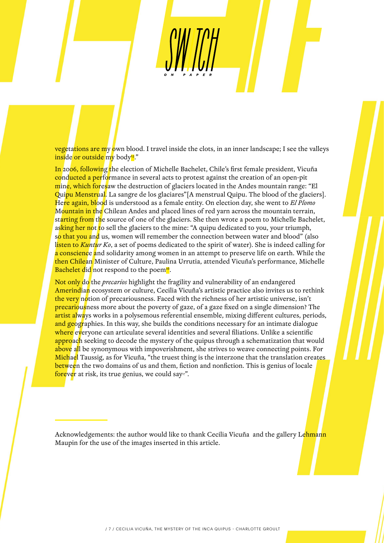vegetations are my own blood. I travel inside the clots, in an inner landscape; I see the valleys inside or outside my body<sup>15</sup>."

In 2006, following the election of Michelle Bachelet, Chile's first female president, Vicuña conducted a performance in several acts to protest against the creation of an open-pit mine, which foresaw the destruction of glaciers located in the Andes mountain range: "El Quipu Menstrual. La sangre de los glaciares"[A menstrual Quipu. The blood of the glaciers]. Here again, blood is understood as a female entity. On election day, she went to *El Plomo* Mountain in the Chilean Andes and placed lines of red yarn across the mountain terrain, starting from the source of one of the glaciers. She then wrote a poem to Michelle Bachelet, asking her not to sell the glaciers to the mine: "A quipu dedicated to you, your triumph, so that you and us, women will remember the connection between water and blood" (also listen to *Kuntur Ko*, a set of poems dedicated to the spirit of water). She is indeed calling for a conscience and solidarity among women in an attempt to preserve life on earth. While the then Chilean Minister of Culture, Paulina Urrutia, attended Vicuña's performance, Michelle Bachelet did not respond to the poem<sup>16</sup>.

Not only do the *precarios* highlight the fragility and vulnerability of an endangered Amerindian ecosystem or culture, Cecilia Vicuña's artistic practice also invites us to rethink the very notion of precariousness. Faced with the richness of her artistic universe, isn't precariousness more about the poverty of gaze, of a gaze fixed on a single dimension? The artist always works in a polysemous referential ensemble, mixing different cultures, periods, and geographies. In this way, she builds the conditions necessary for an intimate dialogue where everyone can articulate several identities and several filiations. Unlike a scientific approach seeking to decode the mystery of the quipus through a schematization that would above all be synonymous with impoverishment, she strives to weave connecting points. For Michael Taussig, as for Vicuña, "the truest thing is the interzone that the translation creates between the two domains of us and them, fiction and nonfiction. This is genius of locale forever at risk, its true genius, we could say<sup>17"</sup>.

Acknowledgements: the author would like to thank Cecilia Vicuña and the gallery Lehmann Maupin for the use of the images inserted in this article.